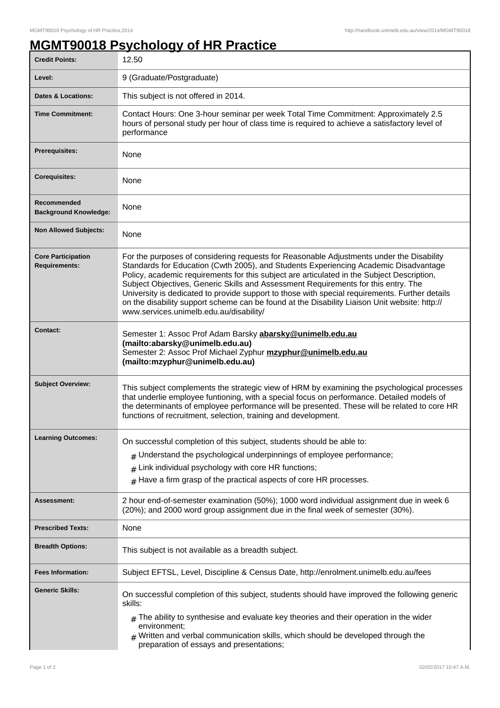## **MGMT90018 Psychology of HR Practice**

| <b>Credit Points:</b>                             | 12.50                                                                                                                                                                                                                                                                                                                                                                                                                                                                                                                                                                                                              |
|---------------------------------------------------|--------------------------------------------------------------------------------------------------------------------------------------------------------------------------------------------------------------------------------------------------------------------------------------------------------------------------------------------------------------------------------------------------------------------------------------------------------------------------------------------------------------------------------------------------------------------------------------------------------------------|
| Level:                                            | 9 (Graduate/Postgraduate)                                                                                                                                                                                                                                                                                                                                                                                                                                                                                                                                                                                          |
| <b>Dates &amp; Locations:</b>                     | This subject is not offered in 2014.                                                                                                                                                                                                                                                                                                                                                                                                                                                                                                                                                                               |
| <b>Time Commitment:</b>                           | Contact Hours: One 3-hour seminar per week Total Time Commitment: Approximately 2.5<br>hours of personal study per hour of class time is required to achieve a satisfactory level of<br>performance                                                                                                                                                                                                                                                                                                                                                                                                                |
| Prerequisites:                                    | None                                                                                                                                                                                                                                                                                                                                                                                                                                                                                                                                                                                                               |
| <b>Corequisites:</b>                              | None                                                                                                                                                                                                                                                                                                                                                                                                                                                                                                                                                                                                               |
| Recommended<br><b>Background Knowledge:</b>       | None                                                                                                                                                                                                                                                                                                                                                                                                                                                                                                                                                                                                               |
| <b>Non Allowed Subjects:</b>                      | None                                                                                                                                                                                                                                                                                                                                                                                                                                                                                                                                                                                                               |
| <b>Core Participation</b><br><b>Requirements:</b> | For the purposes of considering requests for Reasonable Adjustments under the Disability<br>Standards for Education (Cwth 2005), and Students Experiencing Academic Disadvantage<br>Policy, academic requirements for this subject are articulated in the Subject Description,<br>Subject Objectives, Generic Skills and Assessment Requirements for this entry. The<br>University is dedicated to provide support to those with special requirements. Further details<br>on the disability support scheme can be found at the Disability Liaison Unit website: http://<br>www.services.unimelb.edu.au/disability/ |
| <b>Contact:</b>                                   | Semester 1: Assoc Prof Adam Barsky abarsky@unimelb.edu.au<br>(mailto:abarsky@unimelb.edu.au)<br>Semester 2: Assoc Prof Michael Zyphur mzyphur@unimelb.edu.au<br>(mailto:mzyphur@unimelb.edu.au)                                                                                                                                                                                                                                                                                                                                                                                                                    |
| <b>Subject Overview:</b>                          | This subject complements the strategic view of HRM by examining the psychological processes<br>that underlie employee funtioning, with a special focus on performance. Detailed models of<br>the determinants of employee performance will be presented. These will be related to core HR<br>functions of recruitment, selection, training and development.                                                                                                                                                                                                                                                        |
| <b>Learning Outcomes:</b>                         | On successful completion of this subject, students should be able to:                                                                                                                                                                                                                                                                                                                                                                                                                                                                                                                                              |
|                                                   | Understand the psychological underpinnings of employee performance;<br>#                                                                                                                                                                                                                                                                                                                                                                                                                                                                                                                                           |
|                                                   | Link individual psychology with core HR functions;<br>#                                                                                                                                                                                                                                                                                                                                                                                                                                                                                                                                                            |
|                                                   | $#$ Have a firm grasp of the practical aspects of core HR processes.                                                                                                                                                                                                                                                                                                                                                                                                                                                                                                                                               |
| <b>Assessment:</b>                                | 2 hour end-of-semester examination (50%); 1000 word individual assignment due in week 6<br>(20%); and 2000 word group assignment due in the final week of semester (30%).                                                                                                                                                                                                                                                                                                                                                                                                                                          |
| <b>Prescribed Texts:</b>                          | None                                                                                                                                                                                                                                                                                                                                                                                                                                                                                                                                                                                                               |
| <b>Breadth Options:</b>                           | This subject is not available as a breadth subject.                                                                                                                                                                                                                                                                                                                                                                                                                                                                                                                                                                |
| <b>Fees Information:</b>                          | Subject EFTSL, Level, Discipline & Census Date, http://enrolment.unimelb.edu.au/fees                                                                                                                                                                                                                                                                                                                                                                                                                                                                                                                               |
| <b>Generic Skills:</b>                            | On successful completion of this subject, students should have improved the following generic<br>skills:                                                                                                                                                                                                                                                                                                                                                                                                                                                                                                           |
|                                                   | $_{\text{\#}}$ The ability to synthesise and evaluate key theories and their operation in the wider<br>environment;<br>$#$ Written and verbal communication skills, which should be developed through the<br>preparation of essays and presentations;                                                                                                                                                                                                                                                                                                                                                              |